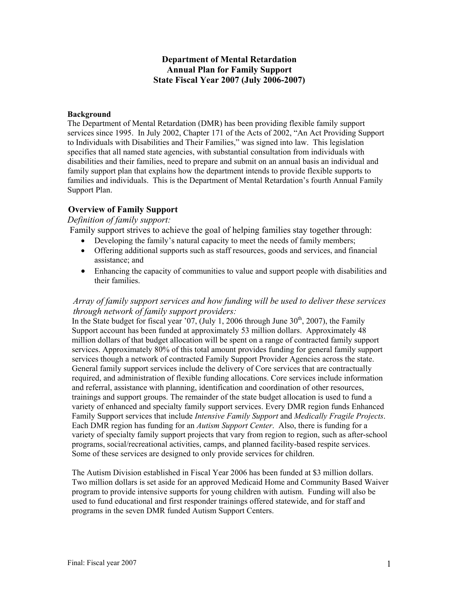#### **Department of Mental Retardation Annual Plan for Family Support State Fiscal Year 2007 (July 2006-2007)**

#### **Background**

The Department of Mental Retardation (DMR) has been providing flexible family support services since 1995. In July 2002, Chapter 171 of the Acts of 2002, "An Act Providing Support to Individuals with Disabilities and Their Families," was signed into law. This legislation specifies that all named state agencies, with substantial consultation from individuals with disabilities and their families, need to prepare and submit on an annual basis an individual and family support plan that explains how the department intends to provide flexible supports to families and individuals. This is the Department of Mental Retardation's fourth Annual Family Support Plan.

#### **Overview of Family Support**

#### *Definition of family support:*

Family support strives to achieve the goal of helping families stay together through:

- Developing the family's natural capacity to meet the needs of family members;
- Offering additional supports such as staff resources, goods and services, and financial assistance; and
- Enhancing the capacity of communities to value and support people with disabilities and their families.

#### *Array of family support services and how funding will be used to deliver these services through network of family support providers:*

In the State budget for fiscal year '07, (July 1, 2006 through June  $30<sup>th</sup>$ , 2007), the Family Support account has been funded at approximately 53 million dollars. Approximately 48 million dollars of that budget allocation will be spent on a range of contracted family support services. Approximately 80% of this total amount provides funding for general family support services though a network of contracted Family Support Provider Agencies across the state. General family support services include the delivery of Core services that are contractually required, and administration of flexible funding allocations. Core services include information and referral, assistance with planning, identification and coordination of other resources, trainings and support groups. The remainder of the state budget allocation is used to fund a variety of enhanced and specialty family support services. Every DMR region funds Enhanced Family Support services that include *Intensive Family Support* and *Medically Fragile Projects*. Each DMR region has funding for an *Autism Support Center*. Also, there is funding for a variety of specialty family support projects that vary from region to region, such as after-school programs, social/recreational activities, camps, and planned facility-based respite services. Some of these services are designed to only provide services for children.

The Autism Division established in Fiscal Year 2006 has been funded at \$3 million dollars. Two million dollars is set aside for an approved Medicaid Home and Community Based Waiver program to provide intensive supports for young children with autism. Funding will also be used to fund educational and first responder trainings offered statewide, and for staff and programs in the seven DMR funded Autism Support Centers.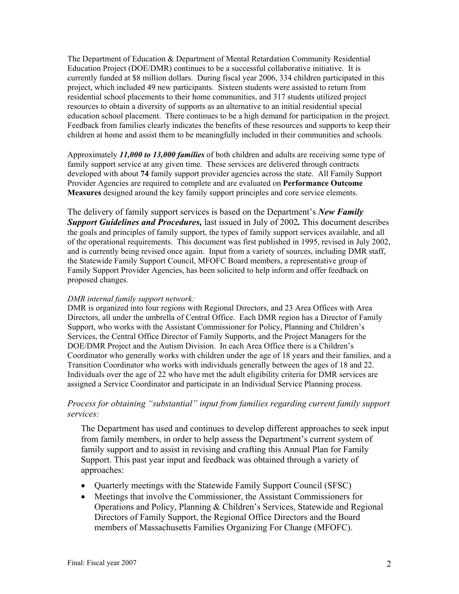The Department of Education & Department of Mental Retardation Community Residential Education Project (DOE/DMR) continues to be a successful collaborative initiative. It is currently funded at \$8 million dollars. During fiscal year 2006, 334 children participated in this project, which included 49 new participants. Sixteen students were assisted to return from residential school placements to their home communities, and 317 students utilized project resources to obtain a diversity of supports as an alternative to an initial residential special education school placement. There continues to be a high demand for participation in the project. Feedback from families clearly indicates the benefits of these resources and supports to keep their children at home and assist them to be meaningfully included in their communities and schools.

Approximately *11,000 to 13,000 families* of both children and adults are receiving some type of family support service at any given time. These services are delivered through contracts developed with about **74** family support provider agencies across the state. All Family Support Provider Agencies are required to complete and are evaluated on **Performance Outcome Measures** designed around the key family support principles and core service elements.

The delivery of family support services is based on the Department's *New Family Support Guidelines and Procedures,* last issued in July of 2002*.* This document describes the goals and principles of family support, the types of family support services available, and all of the operational requirements. This document was first published in 1995, revised in July 2002, and is currently being revised once again. Input from a variety of sources, including DMR staff, the Statewide Family Support Council, MFOFC Board members, a representative group of Family Support Provider Agencies, has been solicited to help inform and offer feedback on proposed changes.

#### *DMR internal family support network:*

DMR is organized into four regions with Regional Directors, and 23 Area Offices with Area Directors, all under the umbrella of Central Office. Each DMR region has a Director of Family Support, who works with the Assistant Commissioner for Policy, Planning and Children's Services, the Central Office Director of Family Supports, and the Project Managers for the DOE/DMR Project and the Autism Division. In each Area Office there is a Children's Coordinator who generally works with children under the age of 18 years and their families, and a Transition Coordinator who works with individuals generally between the ages of 18 and 22. Individuals over the age of 22 who have met the adult eligibility criteria for DMR services are assigned a Service Coordinator and participate in an Individual Service Planning process.

#### *Process for obtaining "substantial" input from families regarding current family support services:*

The Department has used and continues to develop different approaches to seek input from family members, in order to help assess the Department's current system of family support and to assist in revising and crafting this Annual Plan for Family Support. This past year input and feedback was obtained through a variety of approaches:

- Quarterly meetings with the Statewide Family Support Council (SFSC)
- Meetings that involve the Commissioner, the Assistant Commissioners for Operations and Policy, Planning & Children's Services, Statewide and Regional Directors of Family Support, the Regional Office Directors and the Board members of Massachusetts Families Organizing For Change (MFOFC).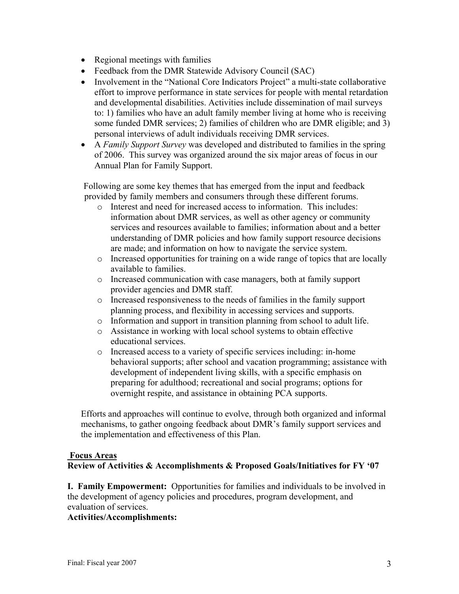- Regional meetings with families
- Feedback from the DMR Statewide Advisory Council (SAC)
- Involvement in the "National Core Indicators Project" a multi-state collaborative effort to improve performance in state services for people with mental retardation and developmental disabilities. Activities include dissemination of mail surveys to: 1) families who have an adult family member living at home who is receiving some funded DMR services; 2) families of children who are DMR eligible; and 3) personal interviews of adult individuals receiving DMR services.
- A *Family Support Survey* was developed and distributed to families in the spring of 2006. This survey was organized around the six major areas of focus in our Annual Plan for Family Support.

Following are some key themes that has emerged from the input and feedback provided by family members and consumers through these different forums.

- o Interest and need for increased access to information. This includes: information about DMR services, as well as other agency or community services and resources available to families; information about and a better understanding of DMR policies and how family support resource decisions are made; and information on how to navigate the service system.
- o Increased opportunities for training on a wide range of topics that are locally available to families.
- o Increased communication with case managers, both at family support provider agencies and DMR staff.
- o Increased responsiveness to the needs of families in the family support planning process, and flexibility in accessing services and supports.
- o Information and support in transition planning from school to adult life.
- o Assistance in working with local school systems to obtain effective educational services.
- o Increased access to a variety of specific services including: in-home behavioral supports; after school and vacation programming; assistance with development of independent living skills, with a specific emphasis on preparing for adulthood; recreational and social programs; options for overnight respite, and assistance in obtaining PCA supports.

Efforts and approaches will continue to evolve, through both organized and informal mechanisms, to gather ongoing feedback about DMR's family support services and the implementation and effectiveness of this Plan.

# **Focus Areas**

**Review of Activities & Accomplishments & Proposed Goals/Initiatives for FY '07**

**I. Family Empowerment:** Opportunities for families and individuals to be involved in the development of agency policies and procedures, program development, and evaluation of services.

#### **Activities/Accomplishments:**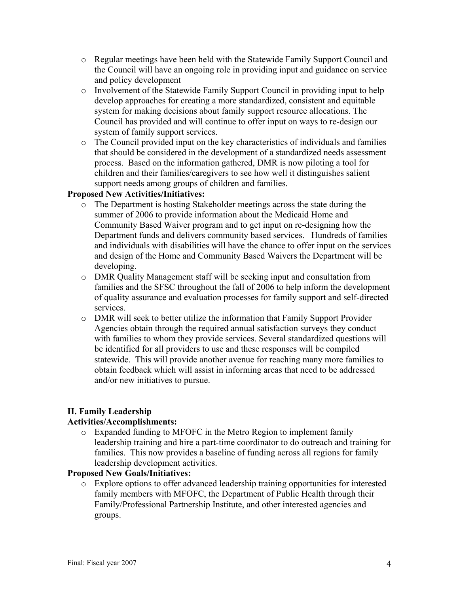- o Regular meetings have been held with the Statewide Family Support Council and the Council will have an ongoing role in providing input and guidance on service and policy development
- o Involvement of the Statewide Family Support Council in providing input to help develop approaches for creating a more standardized, consistent and equitable system for making decisions about family support resource allocations. The Council has provided and will continue to offer input on ways to re-design our system of family support services.
- o The Council provided input on the key characteristics of individuals and families that should be considered in the development of a standardized needs assessment process. Based on the information gathered, DMR is now piloting a tool for children and their families/caregivers to see how well it distinguishes salient support needs among groups of children and families.

# **Proposed New Activities/Initiatives:**

- o The Department is hosting Stakeholder meetings across the state during the summer of 2006 to provide information about the Medicaid Home and Community Based Waiver program and to get input on re-designing how the Department funds and delivers community based services. Hundreds of families and individuals with disabilities will have the chance to offer input on the services and design of the Home and Community Based Waivers the Department will be developing.
- o DMR Quality Management staff will be seeking input and consultation from families and the SFSC throughout the fall of 2006 to help inform the development of quality assurance and evaluation processes for family support and self-directed services.
- o DMR will seek to better utilize the information that Family Support Provider Agencies obtain through the required annual satisfaction surveys they conduct with families to whom they provide services. Several standardized questions will be identified for all providers to use and these responses will be compiled statewide. This will provide another avenue for reaching many more families to obtain feedback which will assist in informing areas that need to be addressed and/or new initiatives to pursue.

# **II. Family Leadership**

# **Activities/Accomplishments:**

o Expanded funding to MFOFC in the Metro Region to implement family leadership training and hire a part-time coordinator to do outreach and training for families. This now provides a baseline of funding across all regions for family leadership development activities.

# **Proposed New Goals/Initiatives:**

o Explore options to offer advanced leadership training opportunities for interested family members with MFOFC, the Department of Public Health through their Family/Professional Partnership Institute, and other interested agencies and groups.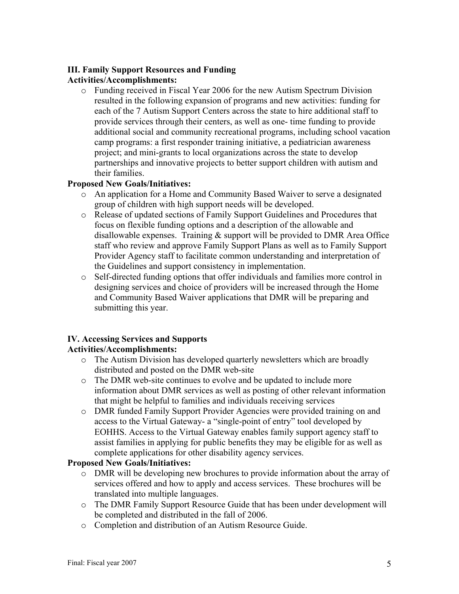# **III. Family Support Resources and Funding**

#### **Activities/Accomplishments:**

o Funding received in Fiscal Year 2006 for the new Autism Spectrum Division resulted in the following expansion of programs and new activities: funding for each of the 7 Autism Support Centers across the state to hire additional staff to provide services through their centers, as well as one- time funding to provide additional social and community recreational programs, including school vacation camp programs: a first responder training initiative, a pediatrician awareness project; and mini-grants to local organizations across the state to develop partnerships and innovative projects to better support children with autism and their families.

#### **Proposed New Goals/Initiatives:**

- o An application for a Home and Community Based Waiver to serve a designated group of children with high support needs will be developed.
- o Release of updated sections of Family Support Guidelines and Procedures that focus on flexible funding options and a description of the allowable and disallowable expenses. Training & support will be provided to DMR Area Office staff who review and approve Family Support Plans as well as to Family Support Provider Agency staff to facilitate common understanding and interpretation of the Guidelines and support consistency in implementation.
- o Self-directed funding options that offer individuals and families more control in designing services and choice of providers will be increased through the Home and Community Based Waiver applications that DMR will be preparing and submitting this year.

# **IV. Accessing Services and Supports**

# **Activities/Accomplishments:**

- o The Autism Division has developed quarterly newsletters which are broadly distributed and posted on the DMR web-site
- o The DMR web-site continues to evolve and be updated to include more information about DMR services as well as posting of other relevant information that might be helpful to families and individuals receiving services
- o DMR funded Family Support Provider Agencies were provided training on and access to the Virtual Gateway- a "single-point of entry" tool developed by EOHHS. Access to the Virtual Gateway enables family support agency staff to assist families in applying for public benefits they may be eligible for as well as complete applications for other disability agency services.

# **Proposed New Goals/Initiatives:**

- o DMR will be developing new brochures to provide information about the array of services offered and how to apply and access services. These brochures will be translated into multiple languages.
- o The DMR Family Support Resource Guide that has been under development will be completed and distributed in the fall of 2006.
- o Completion and distribution of an Autism Resource Guide.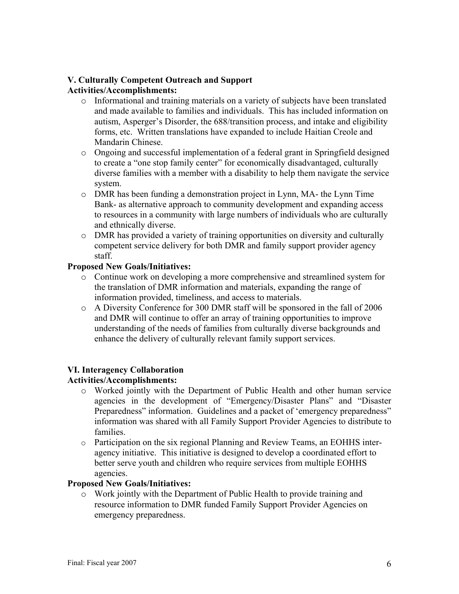#### **V. Culturally Competent Outreach and Support Activities/Accomplishments:**

- o Informational and training materials on a variety of subjects have been translated and made available to families and individuals. This has included information on autism, Asperger's Disorder, the 688/transition process, and intake and eligibility forms, etc. Written translations have expanded to include Haitian Creole and Mandarin Chinese.
- o Ongoing and successful implementation of a federal grant in Springfield designed to create a "one stop family center" for economically disadvantaged, culturally diverse families with a member with a disability to help them navigate the service system.
- o DMR has been funding a demonstration project in Lynn, MA- the Lynn Time Bank- as alternative approach to community development and expanding access to resources in a community with large numbers of individuals who are culturally and ethnically diverse.
- o DMR has provided a variety of training opportunities on diversity and culturally competent service delivery for both DMR and family support provider agency staff.

# **Proposed New Goals/Initiatives:**

- o Continue work on developing a more comprehensive and streamlined system for the translation of DMR information and materials, expanding the range of information provided, timeliness, and access to materials.
- o A Diversity Conference for 300 DMR staff will be sponsored in the fall of 2006 and DMR will continue to offer an array of training opportunities to improve understanding of the needs of families from culturally diverse backgrounds and enhance the delivery of culturally relevant family support services.

# **VI. Interagency Collaboration**

# **Activities/Accomplishments:**

- o Worked jointly with the Department of Public Health and other human service agencies in the development of "Emergency/Disaster Plans" and "Disaster Preparedness" information. Guidelines and a packet of 'emergency preparedness" information was shared with all Family Support Provider Agencies to distribute to families.
- o Participation on the six regional Planning and Review Teams, an EOHHS interagency initiative. This initiative is designed to develop a coordinated effort to better serve youth and children who require services from multiple EOHHS agencies.

# **Proposed New Goals/Initiatives:**

o Work jointly with the Department of Public Health to provide training and resource information to DMR funded Family Support Provider Agencies on emergency preparedness.